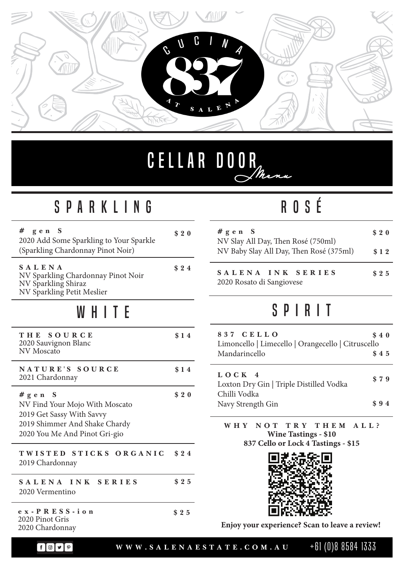

## Cellar Door *Menu*

#### SParkling

| #<br>gen S<br>2020 Add Some Sparkling to Your Sparkle<br>(Sparkling Chardonnay Pinot Noir)                                              | \$20 |
|-----------------------------------------------------------------------------------------------------------------------------------------|------|
| SALENA<br>NV Sparkling Chardonnay Pinot Noir<br>NV Sparkling Shiraz<br>NV Sparkling Petit Meslier                                       | \$24 |
| WHITE                                                                                                                                   |      |
| THE SOURCE<br>2020 Sauvignon Blanc<br><b>NV</b> Moscato                                                                                 | \$14 |
| NATURE'S SOURCE<br>2021 Chardonnay                                                                                                      | \$14 |
| #gen S<br>NV Find Your Mojo With Moscato<br>2019 Get Sassy With Savvy<br>2019 Shimmer And Shake Chardy<br>2020 You Me And Pinot Gri-gio | \$20 |
| TWISTED STICKS ORGANIC<br>2019 Chardonnay                                                                                               | \$24 |
| SALENA INK SERIES<br>2020 Vermentino                                                                                                    | \$25 |
| ex-PRESS-ion<br>2020 Pinot Gris<br>2020 Chardonnay                                                                                      | \$25 |

#### ROSé

| # $g \, e \, n \quad S$<br>NV Slay All Day, Then Rosé (750ml)<br>NV Baby Slay All Day, Then Rosé (375ml) | \$20 |
|----------------------------------------------------------------------------------------------------------|------|
|                                                                                                          | \$12 |
| SALENA INK SERIES<br>2020 Rosato di Sangiovese                                                           | \$25 |

#### SPIRIT

| 837 CELLO<br>Limoncello   Limecello   Orangecello   Citruscello<br>Mandarincello | \$40<br>\$45 |
|----------------------------------------------------------------------------------|--------------|
| LOCK <sub>4</sub><br>Loxton Dry Gin   Triple Distilled Vodka                     | \$79         |
| Chilli Vodka<br>Navy Strength Gin                                                | \$94         |

**W HY NOT TRY THEM ALL? Wine Tastings - \$10 837 Cello or Lock 4 Tastings - \$15**



**Enjoy your experience? Scan to leave a review!**

 $\begin{picture}(180,10) \put(0,0){\line(1,0){10}} \put(10,0){\line(1,0){10}} \put(10,0){\line(1,0){10}} \put(10,0){\line(1,0){10}} \put(10,0){\line(1,0){10}} \put(10,0){\line(1,0){10}} \put(10,0){\line(1,0){10}} \put(10,0){\line(1,0){10}} \put(10,0){\line(1,0){10}} \put(10,0){\line(1,0){10}} \put(10,0){\line(1,0){10}} \put(10,0){\line($ 

**WWW.SALENAESTATE.COM.AU** +61 (0)8 8584 1333